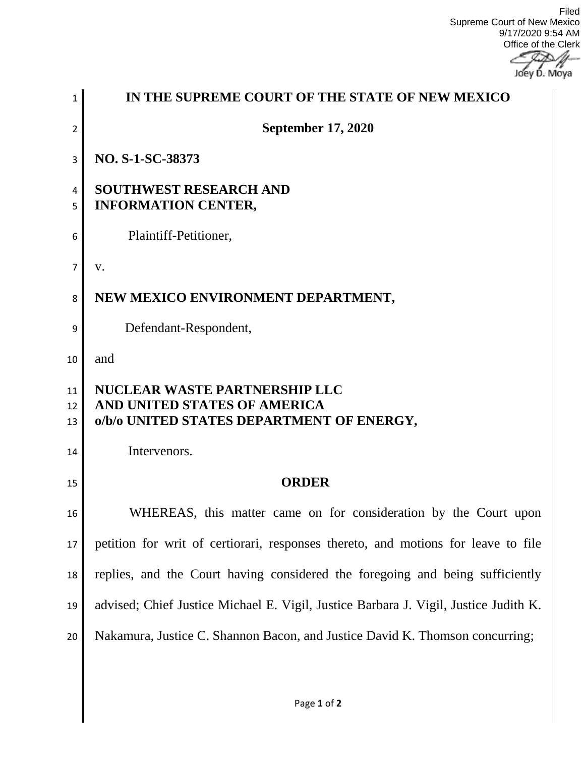Filed Supreme Court of New Mexico 9/17/2020 9:54 AM Office of the Clerk

Joey D. Moya

| 1              | IN THE SUPREME COURT OF THE STATE OF NEW MEXICO                                                                   |
|----------------|-------------------------------------------------------------------------------------------------------------------|
| $\overline{2}$ | <b>September 17, 2020</b>                                                                                         |
| 3              | NO. S-1-SC-38373                                                                                                  |
| 4<br>5         | <b>SOUTHWEST RESEARCH AND</b><br><b>INFORMATION CENTER,</b>                                                       |
| 6              | Plaintiff-Petitioner,                                                                                             |
| $\overline{7}$ | V.                                                                                                                |
| 8              | NEW MEXICO ENVIRONMENT DEPARTMENT,                                                                                |
| 9              | Defendant-Respondent,                                                                                             |
| 10             | and                                                                                                               |
| 11<br>12<br>13 | <b>NUCLEAR WASTE PARTNERSHIP LLC</b><br>AND UNITED STATES OF AMERICA<br>o/b/o UNITED STATES DEPARTMENT OF ENERGY, |
| 14             | Intervenors.                                                                                                      |
| 15             | <b>ORDER</b>                                                                                                      |
| 16             | WHEREAS, this matter came on for consideration by the Court upon                                                  |
| 17             | petition for writ of certiorari, responses thereto, and motions for leave to file                                 |
| 18             | replies, and the Court having considered the foregoing and being sufficiently                                     |
| 19             | advised; Chief Justice Michael E. Vigil, Justice Barbara J. Vigil, Justice Judith K.                              |
| 20             | Nakamura, Justice C. Shannon Bacon, and Justice David K. Thomson concurring;                                      |
|                |                                                                                                                   |
|                |                                                                                                                   |